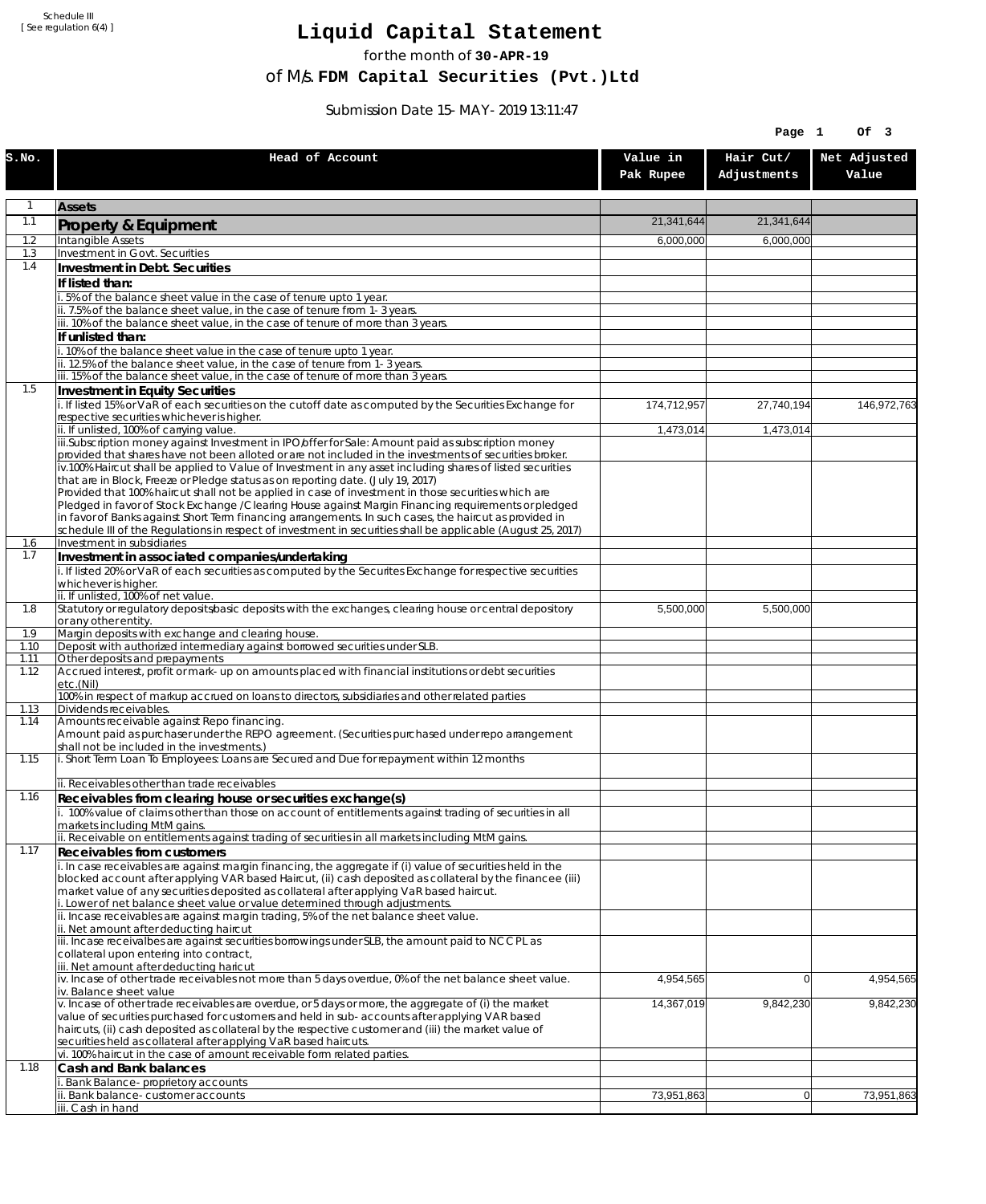Schedule III [ See regulation 6(4) ]

## **Liquid Capital Statement**

for the month of **30-APR-19**

of M/s. **FDM Capital Securities (Pvt.)Ltd**

Submission Date 15-MAY-2019 13:11:47

|              |                                                                                                                                                                                                                        |                       | Page 1                   | Of 3                  |
|--------------|------------------------------------------------------------------------------------------------------------------------------------------------------------------------------------------------------------------------|-----------------------|--------------------------|-----------------------|
| S.NO.        | Head of Account                                                                                                                                                                                                        | Value in<br>Pak Rupee | Hair Cut/<br>Adjustments | Net Adjusted<br>Value |
| 1            | <b>Assets</b>                                                                                                                                                                                                          |                       |                          |                       |
| 1.1          | Property & Equipment                                                                                                                                                                                                   | 21,341,644            | 21,341,644               |                       |
| 1.2          | Intangible Assets                                                                                                                                                                                                      | 6,000,000             | 6,000,000                |                       |
| 1.3<br>1.4   | Investment in Govt. Securities<br>Investment in Debt. Securities                                                                                                                                                       |                       |                          |                       |
|              | If listed than:                                                                                                                                                                                                        |                       |                          |                       |
|              | i. 5% of the balance sheet value in the case of tenure upto 1 year.                                                                                                                                                    |                       |                          |                       |
|              | ii. 7.5% of the balance sheet value, in the case of tenure from 1-3 years.<br>iii. 10% of the balance sheet value, in the case of tenure of more than 3 years.                                                         |                       |                          |                       |
|              | If unlisted than:                                                                                                                                                                                                      |                       |                          |                       |
|              | i. 10% of the balance sheet value in the case of tenure upto 1 year.                                                                                                                                                   |                       |                          |                       |
|              | ii. 12.5% of the balance sheet value, in the case of tenure from 1-3 years.<br>iii. 15% of the balance sheet value, in the case of tenure of more than 3 years.                                                        |                       |                          |                       |
| 1.5          | Investment in Equity Securities                                                                                                                                                                                        |                       |                          |                       |
|              | i. If listed 15% or VaR of each securities on the cutoff date as computed by the Securities Exchange for                                                                                                               | 174,712,957           | 27,740,194               | 146,972,763           |
|              | respective securities whichever is higher.                                                                                                                                                                             |                       |                          |                       |
|              | ii. If unlisted, 100% of carrying value.<br>iii.Subscription money against Investment in IPO/offer for Sale: Amount paid as subscription money                                                                         | 1,473,014             | 1,473,014                |                       |
|              | provided that shares have not been alloted or are not included in the investments of securities broker.                                                                                                                |                       |                          |                       |
|              | iv.100% Haircut shall be applied to Value of Investment in any asset including shares of listed securities<br>that are in Block, Freeze or Pledge status as on reporting date. (July 19, 2017)                         |                       |                          |                       |
|              | Provided that 100% haircut shall not be applied in case of investment in those securities which are                                                                                                                    |                       |                          |                       |
|              | Pledged in favor of Stock Exchange / Clearing House against Margin Financing requirements or pledged                                                                                                                   |                       |                          |                       |
|              | in favor of Banks against Short Term financing arrangements. In such cases, the haircut as provided in<br>schedule III of the Regulations in respect of investment in securities shall be applicable (August 25, 2017) |                       |                          |                       |
| 1.6          | Investment in subsidiaries                                                                                                                                                                                             |                       |                          |                       |
| 1.7          | Investment in associated companies/undertaking                                                                                                                                                                         |                       |                          |                       |
|              | i. If listed 20% or VaR of each securities as computed by the Securites Exchange for respective securities<br>whichever is higher.                                                                                     |                       |                          |                       |
|              | ii. If unlisted, 100% of net value.                                                                                                                                                                                    |                       |                          |                       |
| 1.8          | Statutory or regulatory deposits/basic deposits with the exchanges, clearing house or central depository<br>or any other entity.                                                                                       | 5,500,000             | 5,500,000                |                       |
| 1.9          | Margin deposits with exchange and clearing house.                                                                                                                                                                      |                       |                          |                       |
| 1.10         | Deposit with authorized intermediary against borrowed securities under SLB.                                                                                                                                            |                       |                          |                       |
| 1.11<br>1.12 | Other deposits and prepayments<br>Accrued interest, profit or mark-up on amounts placed with financial institutions or debt securities                                                                                 |                       |                          |                       |
|              | etc.(Nil)                                                                                                                                                                                                              |                       |                          |                       |
| 1.13         | 100% in respect of markup accrued on loans to directors, subsidiaries and other related parties<br>Dividends receivables.                                                                                              |                       |                          |                       |
| 1.14         | Amounts receivable against Repo financing.                                                                                                                                                                             |                       |                          |                       |
|              | Amount paid as purchaser under the REPO agreement. (Securities purchased under repo arrangement<br>shall not be included in the investments.)                                                                          |                       |                          |                       |
| 1.15         | i. Short Term Loan To Employees: Loans are Secured and Due for repayment within 12 months                                                                                                                              |                       |                          |                       |
|              |                                                                                                                                                                                                                        |                       |                          |                       |
| 1.16         | ii. Receivables other than trade receivables<br>Receivables from clearing house or securities exchange(s)                                                                                                              |                       |                          |                       |
|              | i. 100% value of claims other than those on account of entitlements against trading of securities in all                                                                                                               |                       |                          |                       |
|              | markets including MtM gains.                                                                                                                                                                                           |                       |                          |                       |
| 1.17         | ii. Receivable on entitlements against trading of securities in all markets including MtM gains.<br>Receivables from customers                                                                                         |                       |                          |                       |
|              | i. In case receivables are against margin financing, the aggregate if (i) value of securities held in the                                                                                                              |                       |                          |                       |
|              | blocked account after applying VAR based Haircut, (ii) cash deposited as collateral by the financee (iii)                                                                                                              |                       |                          |                       |
|              | market value of any securities deposited as collateral after applying VaR based haircut.<br>i. Lower of net balance sheet value or value determined through adjustments.                                               |                       |                          |                       |
|              | ii. Incase receivables are against margin trading, 5% of the net balance sheet value.                                                                                                                                  |                       |                          |                       |
|              | ii. Net amount after deducting haircut<br>iii. Incase receivalbes are against securities borrowings under SLB, the amount paid to NCCPL as                                                                             |                       |                          |                       |
|              | collateral upon entering into contract,                                                                                                                                                                                |                       |                          |                       |
|              | iii. Net amount after deducting haricut                                                                                                                                                                                |                       |                          |                       |
|              | $\dot{v}$ . Incase of other trade receivables not more than 5 days overdue, 0% of the net balance sheet value.<br>iv. Balance sheet value                                                                              | 4,954,565             | $\overline{0}$           | 4,954,565             |
|              | v. Incase of other trade receivables are overdue, or 5 days or more, the aggregate of (i) the market                                                                                                                   | 14,367,019            | 9,842,230                | 9,842,230             |
|              | value of securities purchased for customers and held in sub-accounts after applying VAR based<br>haircuts, (ii) cash deposited as collateral by the respective customer and (iii) the market value of                  |                       |                          |                       |
|              | securities held as collateral after applying VaR based haircuts.                                                                                                                                                       |                       |                          |                       |
|              | vi. 100% haircut in the case of amount receivable form related parties.                                                                                                                                                |                       |                          |                       |
| 1.18         | Cash and Bank balances<br>i. Bank Balance-proprietory accounts                                                                                                                                                         |                       |                          |                       |
|              | ii. Bank balance-customer accounts                                                                                                                                                                                     | 73,951,863            | 0                        | 73,951,863            |
|              | iii. Cash in hand                                                                                                                                                                                                      |                       |                          |                       |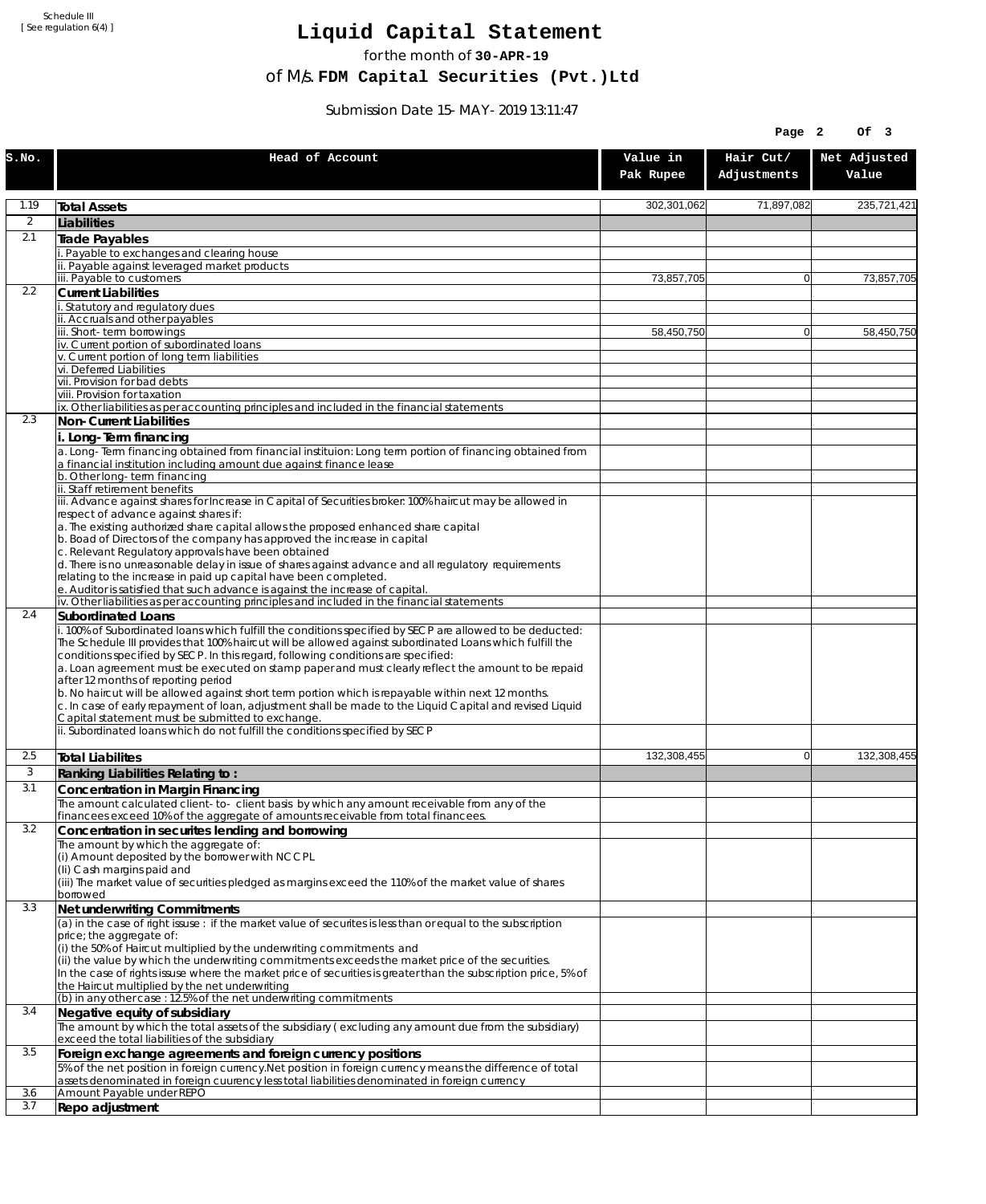Schedule III [ See regulation 6(4) ]

## **Liquid Capital Statement**

for the month of **30-APR-19**

of M/s. **FDM Capital Securities (Pvt.)Ltd**

Submission Date 15-MAY-2019 13:11:47

|                |                                                                                                                                                                                                                                                                                                                                                                                                                |                       | Page 2                   | OF <sub>3</sub>       |
|----------------|----------------------------------------------------------------------------------------------------------------------------------------------------------------------------------------------------------------------------------------------------------------------------------------------------------------------------------------------------------------------------------------------------------------|-----------------------|--------------------------|-----------------------|
| S.NO.          | Head of Account                                                                                                                                                                                                                                                                                                                                                                                                | Value in<br>Pak Rupee | Hair Cut/<br>Adjustments | Net Adjusted<br>Value |
| 1.19           | <b>Total Assets</b>                                                                                                                                                                                                                                                                                                                                                                                            | 302,301,062           | 71,897,082               | 235,721,421           |
| $\overline{2}$ | Liabilities                                                                                                                                                                                                                                                                                                                                                                                                    |                       |                          |                       |
| 2.1            | Trade Payables                                                                                                                                                                                                                                                                                                                                                                                                 |                       |                          |                       |
|                | Payable to exchanges and clearing house                                                                                                                                                                                                                                                                                                                                                                        |                       |                          |                       |
|                | ii. Payable against leveraged market products<br>iii. Payable to customers                                                                                                                                                                                                                                                                                                                                     | 73,857,705            | $\mathbf{0}$             | 73,857,705            |
| 2.2            | <b>Current Liabilities</b>                                                                                                                                                                                                                                                                                                                                                                                     |                       |                          |                       |
|                | . Statutory and regulatory dues                                                                                                                                                                                                                                                                                                                                                                                |                       |                          |                       |
|                | ii. Accruals and other payables<br>iii. Short-term borrowinas                                                                                                                                                                                                                                                                                                                                                  | 58.450.750            | $\mathbf{0}$             | 58,450,750            |
|                | iv. Current portion of subordinated loans                                                                                                                                                                                                                                                                                                                                                                      |                       |                          |                       |
|                | v. Current portion of long term liabilities<br>vi. Deferred Liabilities                                                                                                                                                                                                                                                                                                                                        |                       |                          |                       |
|                | vii. Provision for bad debts                                                                                                                                                                                                                                                                                                                                                                                   |                       |                          |                       |
|                | viii. Provision for taxation                                                                                                                                                                                                                                                                                                                                                                                   |                       |                          |                       |
| 2.3            | ix. Other liabilities as per accounting principles and included in the financial statements<br>Non-Current Liabilities                                                                                                                                                                                                                                                                                         |                       |                          |                       |
|                | i. Long-Term financing                                                                                                                                                                                                                                                                                                                                                                                         |                       |                          |                       |
|                | a. Long-Term financing obtained from financial instituion: Long term portion of financing obtained from<br>a financial institution including amount due against finance lease                                                                                                                                                                                                                                  |                       |                          |                       |
|                | b. Other long-term financing                                                                                                                                                                                                                                                                                                                                                                                   |                       |                          |                       |
|                | ii. Staff retirement benefits<br>iii. Advance against shares for Increase in Capital of Securities broker: 100% haircut may be allowed in                                                                                                                                                                                                                                                                      |                       |                          |                       |
|                | respect of advance against shares if:                                                                                                                                                                                                                                                                                                                                                                          |                       |                          |                       |
|                | a. The existing authorized share capital allows the proposed enhanced share capital<br>b. Boad of Directors of the company has approved the increase in capital                                                                                                                                                                                                                                                |                       |                          |                       |
|                | c. Relevant Regulatory approvals have been obtained                                                                                                                                                                                                                                                                                                                                                            |                       |                          |                       |
|                | d. There is no unreasonable delay in issue of shares against advance and all regulatory requirements                                                                                                                                                                                                                                                                                                           |                       |                          |                       |
|                | relating to the increase in paid up capital have been completed.<br>e. Auditor is satisfied that such advance is against the increase of capital.                                                                                                                                                                                                                                                              |                       |                          |                       |
|                | iv. Other liabilities as per accounting principles and included in the financial statements                                                                                                                                                                                                                                                                                                                    |                       |                          |                       |
| 2.4            | <b>Subordinated Loans</b>                                                                                                                                                                                                                                                                                                                                                                                      |                       |                          |                       |
|                | . 100% of Subordinated loans which fulfill the conditions specified by SECP are allowed to be deducted:<br>The Schedule III provides that 100% haircut will be allowed against subordinated Loans which fulfill the<br>conditions specified by SECP. In this regard, following conditions are specified:<br>a. Loan agreement must be executed on stamp paper and must clearly reflect the amount to be repaid |                       |                          |                       |
|                | after 12 months of reporting period<br>b. No haircut will be allowed against short term portion which is repayable within next 12 months.<br>c. In case of early repayment of loan, adjustment shall be made to the Liquid Capital and revised Liquid<br>Capital statement must be submitted to exchange.                                                                                                      |                       |                          |                       |
|                | ii. Subordinated loans which do not fulfill the conditions specified by SECP                                                                                                                                                                                                                                                                                                                                   |                       |                          |                       |
| 2.5            | <b>Total Liabilites</b>                                                                                                                                                                                                                                                                                                                                                                                        | 132,308,455           | $\mathbf{0}$             | 132,308,455           |
| 3              | Ranking Liabilities Relating to:                                                                                                                                                                                                                                                                                                                                                                               |                       |                          |                       |
| 3.1            | Concentration in Margin Financing                                                                                                                                                                                                                                                                                                                                                                              |                       |                          |                       |
|                | The amount calculated client-to- client basis by which any amount receivable from any of the                                                                                                                                                                                                                                                                                                                   |                       |                          |                       |
| 3.2            | financees exceed 10% of the aggregate of amounts receivable from total financees.<br>Concentration in securites lending and borrowing                                                                                                                                                                                                                                                                          |                       |                          |                       |
|                | The amount by which the aggregate of:                                                                                                                                                                                                                                                                                                                                                                          |                       |                          |                       |
|                | (i) Amount deposited by the borrower with NCCPL                                                                                                                                                                                                                                                                                                                                                                |                       |                          |                       |
|                | (Ii) Cash margins paid and<br>(iii) The market value of securities pledged as margins exceed the 110% of the market value of shares                                                                                                                                                                                                                                                                            |                       |                          |                       |
|                | borrowed                                                                                                                                                                                                                                                                                                                                                                                                       |                       |                          |                       |
| 3.3            | Net underwriting Commitments                                                                                                                                                                                                                                                                                                                                                                                   |                       |                          |                       |
|                | (a) in the case of right issuse : if the market value of securites is less than or equal to the subscription<br>price; the aggregate of:                                                                                                                                                                                                                                                                       |                       |                          |                       |
|                | (i) the 50% of Haircut multiplied by the underwriting commitments and                                                                                                                                                                                                                                                                                                                                          |                       |                          |                       |
|                | (ii) the value by which the underwriting commitments exceeds the market price of the securities.                                                                                                                                                                                                                                                                                                               |                       |                          |                       |
|                | In the case of rights issuse where the market price of securities is greater than the subscription price, 5% of<br>the Haircut multiplied by the net underwriting                                                                                                                                                                                                                                              |                       |                          |                       |
|                | (b) in any other case: 12.5% of the net underwriting commitments                                                                                                                                                                                                                                                                                                                                               |                       |                          |                       |
| 3.4            | Negative equity of subsidiary                                                                                                                                                                                                                                                                                                                                                                                  |                       |                          |                       |
|                | The amount by which the total assets of the subsidiary (excluding any amount due from the subsidiary)<br>exceed the total liabilities of the subsidiary                                                                                                                                                                                                                                                        |                       |                          |                       |
| 3.5            | Foreign exchange agreements and foreign currency positions                                                                                                                                                                                                                                                                                                                                                     |                       |                          |                       |
|                | 5% of the net position in foreign currency. Net position in foreign currency means the difference of total<br>assets denominated in foreign cuurency less total liabilities denominated in foreign currency                                                                                                                                                                                                    |                       |                          |                       |
| 3.6<br>3.7     | Amount Payable under REPO                                                                                                                                                                                                                                                                                                                                                                                      |                       |                          |                       |
|                | Repo adjustment                                                                                                                                                                                                                                                                                                                                                                                                |                       |                          |                       |